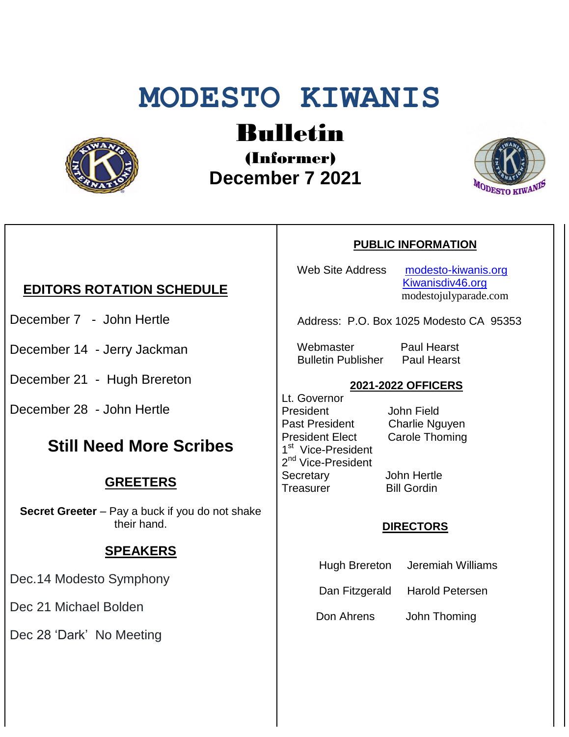# **MODESTO KIWANIS**



# Bulletin

(Informer)  **December 7 2021**



# **EDITORS ROTATION SCHEDULE**

- December 7 John Hertle
- December 14 Jerry Jackman
- December 21 Hugh Brereton
- December 28 John Hertle

# **Still Need More Scribes**

## **GREETERS**

**Secret Greeter** – Pay a buck if you do not shake their hand.

### **SPEAKERS**

Dec.14 Modesto Symphony

Dec 21 Michael Bolden

Dec 28 'Dark' No Meeting

#### **PUBLIC INFORMATION**

Web Site Address [modesto-kiwanis.org](http://modesto-kiwanis.org/) [Kiwanisdiv46.org](http://www.kiwanisdiv46.org/) modestojulyparade.com

Address: P.O. Box 1025 Modesto CA 95353

 Webmaster Paul Hearst Bulletin Publisher Paul Hearst

#### **2021-2022 OFFICERS**

Lt. Governor President John Field Past President Charlie Nguyen President Elect Carole Thoming 1<sup>st</sup> Vice-President 2<sup>nd</sup> Vice-President Secretary John Hertle Treasurer Bill Gordin

#### **DIRECTORS**

- Hugh Brereton Jeremiah Williams
- Dan Fitzgerald Harold Petersen

Don Ahrens John Thoming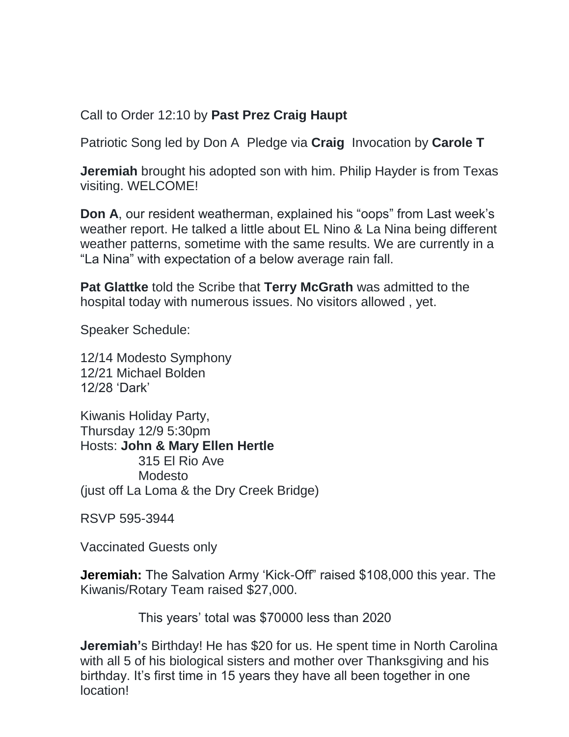Call to Order 12:10 by **Past Prez Craig Haupt**

Patriotic Song led by Don A Pledge via **Craig** Invocation by **Carole T**

**Jeremiah** brought his adopted son with him. Philip Hayder is from Texas visiting. WELCOME!

**Don A**, our resident weatherman, explained his "oops" from Last week's weather report. He talked a little about EL Nino & La Nina being different weather patterns, sometime with the same results. We are currently in a "La Nina" with expectation of a below average rain fall.

**Pat Glattke** told the Scribe that **Terry McGrath** was admitted to the hospital today with numerous issues. No visitors allowed , yet.

Speaker Schedule:

12/14 Modesto Symphony 12/21 Michael Bolden 12/28 'Dark'

Kiwanis Holiday Party, Thursday 12/9 5:30pm Hosts: **John & Mary Ellen Hertle** 315 El Rio Ave Modesto (just off La Loma & the Dry Creek Bridge)

RSVP 595-3944

Vaccinated Guests only

**Jeremiah:** The Salvation Army 'Kick-Off" raised \$108,000 this year. The Kiwanis/Rotary Team raised \$27,000.

This years' total was \$70000 less than 2020

**Jeremiah'**s Birthday! He has \$20 for us. He spent time in North Carolina with all 5 of his biological sisters and mother over Thanksgiving and his birthday. It's first time in 15 years they have all been together in one location!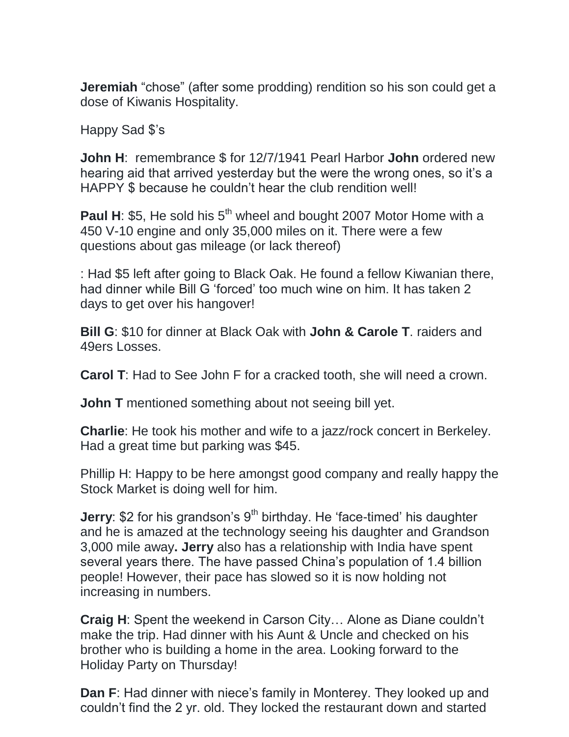**Jeremiah** "chose" (after some prodding) rendition so his son could get a dose of Kiwanis Hospitality.

Happy Sad \$'s

**John H**: remembrance \$ for 12/7/1941 Pearl Harbor **John** ordered new hearing aid that arrived yesterday but the were the wrong ones, so it's a HAPPY \$ because he couldn't hear the club rendition well!

**Paul H: \$5, He sold his 5<sup>th</sup> wheel and bought 2007 Motor Home with a** 450 V-10 engine and only 35,000 miles on it. There were a few questions about gas mileage (or lack thereof)

: Had \$5 left after going to Black Oak. He found a fellow Kiwanian there, had dinner while Bill G 'forced' too much wine on him. It has taken 2 days to get over his hangover!

**Bill G**: \$10 for dinner at Black Oak with **John & Carole T**. raiders and 49ers Losses.

**Carol T**: Had to See John F for a cracked tooth, she will need a crown.

**John T** mentioned something about not seeing bill yet.

**Charlie**: He took his mother and wife to a jazz/rock concert in Berkeley. Had a great time but parking was \$45.

Phillip H: Happy to be here amongst good company and really happy the Stock Market is doing well for him.

**Jerry**: \$2 for his grandson's 9<sup>th</sup> birthday. He 'face-timed' his daughter and he is amazed at the technology seeing his daughter and Grandson 3,000 mile away**. Jerry** also has a relationship with India have spent several years there. The have passed China's population of 1.4 billion people! However, their pace has slowed so it is now holding not increasing in numbers.

**Craig H**: Spent the weekend in Carson City… Alone as Diane couldn't make the trip. Had dinner with his Aunt & Uncle and checked on his brother who is building a home in the area. Looking forward to the Holiday Party on Thursday!

**Dan F**: Had dinner with niece's family in Monterey. They looked up and couldn't find the 2 yr. old. They locked the restaurant down and started